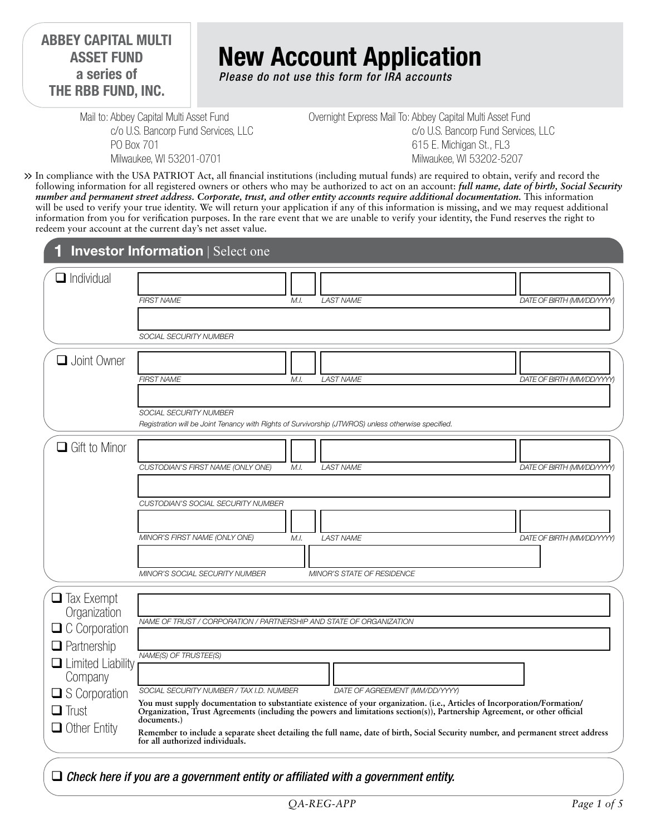**ABBEY CAPITAL MULTI ASSET FUND a series of THE RBB FUND, INC.**

# **New Account Application**

*Please do not use this form for IRA accounts*

Mail to: Abbey Capital Multi Asset Fund c/o U.S. Bancorp Fund Services, LLC PO Box 701 Milwaukee, WI 53201-0701

Overnight Express Mail To: Abbey Capital Multi Asset Fund c/o U.S. Bancorp Fund Services, LLC 615 E. Michigan St., FL3 Milwaukee, WI 53202-5207

In compliance with the USA PATRIOT Act, all financial institutions (including mutual funds) are required to obtain, verify and record the **>>** following information for all registered owners or others who may be authorized to act on an account: *full name, date of birth, Social Security number and permanent street address. Corporate, trust, and other entity accounts require additional documentation.* This information will be used to verify your true identity. We will return your application if any of this information is missing, and we may request additional information from you for verification purposes. In the rare event that we are unable to verify your identity, the Fund reserves the right to redeem your account at the current day's net asset value.

|                                                                                 | <b>Investor Information   Select one</b>                                                                                                                                                                                                                                                                                                                                                                                                                                                  |
|---------------------------------------------------------------------------------|-------------------------------------------------------------------------------------------------------------------------------------------------------------------------------------------------------------------------------------------------------------------------------------------------------------------------------------------------------------------------------------------------------------------------------------------------------------------------------------------|
| $\Box$ Individual                                                               | DATE OF BIRTH (MM/DD/YYYY)<br><b>FIRST NAME</b><br>M.I.<br><b>LAST NAME</b><br><b>SOCIAL SECURITY NUMBER</b>                                                                                                                                                                                                                                                                                                                                                                              |
| <b>Q</b> Joint Owner                                                            | <b>FIRST NAME</b><br><b>LAST NAME</b><br>DATE OF BIRTH (MM/DD/YYYY)<br>M.I.                                                                                                                                                                                                                                                                                                                                                                                                               |
|                                                                                 | SOCIAL SECURITY NUMBER<br>Registration will be Joint Tenancy with Rights of Survivorship (JTWROS) unless otherwise specified.                                                                                                                                                                                                                                                                                                                                                             |
| $\Box$ Gift to Minor                                                            | CUSTODIAN'S FIRST NAME (ONLY ONE)<br>M.I.<br><b>LAST NAME</b><br>DATE OF BIRTH (MM/DD/YYYY)                                                                                                                                                                                                                                                                                                                                                                                               |
|                                                                                 | CUSTODIAN'S SOCIAL SECURITY NUMBER<br>MINOR'S FIRST NAME (ONLY ONE)<br><b>LAST NAME</b><br>DATE OF BIRTH (MM/DD/YYYY)<br>M.L                                                                                                                                                                                                                                                                                                                                                              |
|                                                                                 | MINOR'S SOCIAL SECURITY NUMBER<br><b>MINOR'S STATE OF RESIDENCE</b>                                                                                                                                                                                                                                                                                                                                                                                                                       |
| $\Box$ Tax Exempt<br>Organization<br>$\Box$ C Corporation<br>$\Box$ Partnership | NAME OF TRUST / CORPORATION / PARTNERSHIP AND STATE OF ORGANIZATION                                                                                                                                                                                                                                                                                                                                                                                                                       |
| $\Box$ Limited Liability<br>Company                                             | NAME(S) OF TRUSTEE(S)                                                                                                                                                                                                                                                                                                                                                                                                                                                                     |
| $\square$ S Corporation<br>$\Box$ Trust<br>$\Box$ Other Entity                  | SOCIAL SECURITY NUMBER / TAX I.D. NUMBER<br>DATE OF AGREEMENT (MM/DD/YYYY)<br>You must supply documentation to substantiate existence of your organization. (i.e., Articles of Incorporation/Formation/<br>Organization, Trust Agreements (including the powers and limitations section(s)), Partnership Agreement, or other official<br>documents.)<br>Remember to include a separate sheet detailing the full name, date of birth, Social Security number, and permanent street address |
|                                                                                 | for all authorized individuals.                                                                                                                                                                                                                                                                                                                                                                                                                                                           |

#### *Check here if you are a government entity or affiliated with a government entity.*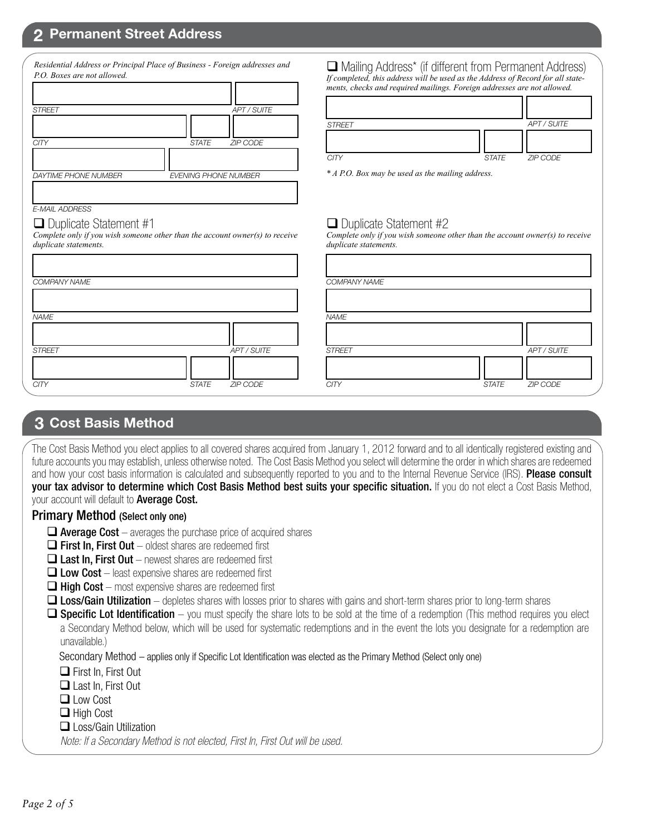## **2 Permanent Street Address**

| <b>APT / SUITE</b>              |
|---------------------------------|
|                                 |
| <b>STATE</b><br><b>ZIP CODE</b> |
|                                 |
| <b>EVENING PHONE NUMBER</b>     |
|                                 |

*Residential Address or Principal Place of Business - Foreign addresses and* 

 Mailing Address\* (if different from Permanent Address) *If completed, this address will be used as the Address of Record for all statements, checks and required mailings. Foreign addresses are not allowed.*

| <b>STREET</b> |              | APT / SUITE     |
|---------------|--------------|-----------------|
|               |              |                 |
| <b>CITY</b>   | <b>STATE</b> | <b>ZIP CODE</b> |

*\* A P.O. Box may be used as the mailing address.*

### $\Box$  Duplicate Statement #1

*E-MAIL ADDRESS*

Г

*Complete only if you wish someone other than the account owner(s) to receive duplicate statements.*

| <b>COMPANY NAME</b> |                          | <b>COMPA</b>  |
|---------------------|--------------------------|---------------|
|                     |                          |               |
| <b>NAME</b>         |                          | <b>NAME</b>   |
|                     |                          |               |
| <b>STREET</b>       | APT / SUITE              | <b>STREET</b> |
|                     |                          |               |
| <b>CITY</b>         | ZIP CODE<br><b>STATE</b> | <b>CITY</b>   |

# $\Box$  Duplicate Statement #2

*Complete only if you wish someone other than the account owner(s) to receive duplicate statements.*

|       |             | COMPANY NAME  |              |             |
|-------|-------------|---------------|--------------|-------------|
|       |             |               |              |             |
|       |             | <b>NAME</b>   |              |             |
|       |             |               |              |             |
|       | APT / SUITE | <b>STREET</b> |              | APT / SUITE |
|       |             |               |              |             |
| STATE | ZIP CODE    | <b>CITY</b>   | <b>STATE</b> | ZIP CODE    |

#### **3 Cost Basis Method**

The Cost Basis Method you elect applies to all covered shares acquired from January 1, 2012 forward and to all identically registered existing and future accounts you may establish, unless otherwise noted. The Cost Basis Method you select will determine the order in which shares are redeemed and how your cost basis information is calculated and subsequently reported to you and to the Internal Revenue Service (IRS). Please consult your tax advisor to determine which Cost Basis Method best suits your specific situation. If you do not elect a Cost Basis Method, your account will default to **Average Cost.** 

#### Primary Method (Select only one)

- $\Box$  Average Cost averages the purchase price of acquired shares
- $\Box$  First In, First Out oldest shares are redeemed first
- $\Box$  Last In, First Out newest shares are redeemed first
- $\Box$  Low Cost least expensive shares are redeemed first
- $\Box$  High Cost most expensive shares are redeemed first
- $\Box$  Loss/Gain Utilization depletes shares with losses prior to shares with gains and short-term shares prior to long-term shares
- $\Box$  Specific Lot Identification you must specify the share lots to be sold at the time of a redemption (This method requires you elect a Secondary Method below, which will be used for systematic redemptions and in the event the lots you designate for a redemption are unavailable.)

Secondary Method – applies only if Specific Lot Identification was elected as the Primary Method (Select only one)

□ First In, First Out

- Last In, First Out
- **□** Low Cost
- □ High Cost

#### □ Loss/Gain Utilization

*Note: If a Secondary Method is not elected, First In, First Out will be used.*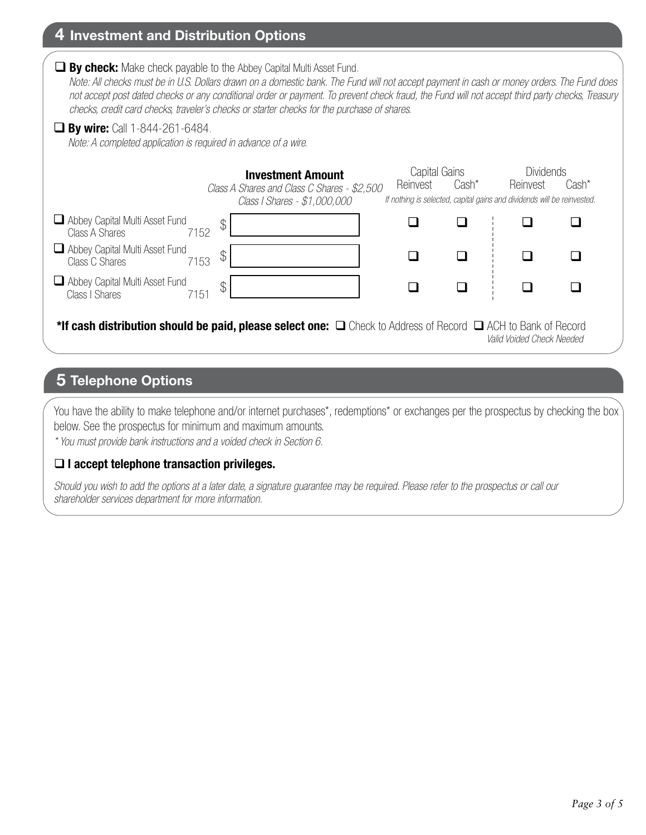## **4 Investment and Distribution Options**

\*If cash distribution should be paid, please select one:  $\Box$  Check to Address of Record  $\Box$  ACH to Bank of Record  *Valid Voided Check Needed*  $\begin{array}{ccccccccccccccccc} \Box & & \Box & & \Box & & \Box & & \Box \end{array}$  $\begin{array}{ccccccccccccccccc} \Box & & \Box & & \Box & & \vdots & \Box \end{array}$  $\begin{array}{ccccccccccccccccc} \Box & & \Box & & \Box & & \vdots & \Box \end{array}$  $\begin{array}{ccccccccccccccccc} \Box & \vdots & \Box & \Box & \Box \end{array}$  $\begin{array}{ccccccccccccccccc} \Box & \vdots & \Box & \Box & \Box \end{array}$  $\begin{array}{ccccccccccccccccc} \Box & \vdots & \Box & \Box & \Box \end{array}$ Reinvest Capital Gains *If nothing is selected, capital gains and dividends will be reinvested.* **Dividends** Cash\* Reinvest Cash\* **By check:** Make check payable to the Abbey Capital Multi Asset Fund.  *Note: All checks must be in U.S. Dollars drawn on a domestic bank. The Fund will not accept payment in cash or money orders. The Fund does not accept post dated checks or any conditional order or payment. To prevent check fraud, the Fund will not accept third party checks, Treasury checks, credit card checks, traveler's checks or starter checks for the purchase of shares.*  $\Im$  $\mathcal{L}$  $\Im$ **Investment Amount** *Class A Shares and Class C Shares - \$2,500 Class I Shares - \$1,000,000* **By wire:** Call 1-844-261-6484. *Note: A completed application is required in advance of a wire.* Abbey Capital Multi Asset Fund<br>Class A Shares 7152 Class A Shares Abbey Capital Multi Asset Fund<br>Class C Shares 7153 Class C Shares Abbey Capital Multi Asset Fund<br>Class I Shares 7151 Class I Shares

# **5 Telephone Options**

You have the ability to make telephone and/or internet purchases\*, redemptions\* or exchanges per the prospectus by checking the box below. See the prospectus for minimum and maximum amounts.

*\* You must provide bank instructions and a voided check in Section 6.* 

#### **I accept telephone transaction privileges.**

*Should you wish to add the options at a later date, a signature guarantee may be required. Please refer to the prospectus or call our shareholder services department for more information.*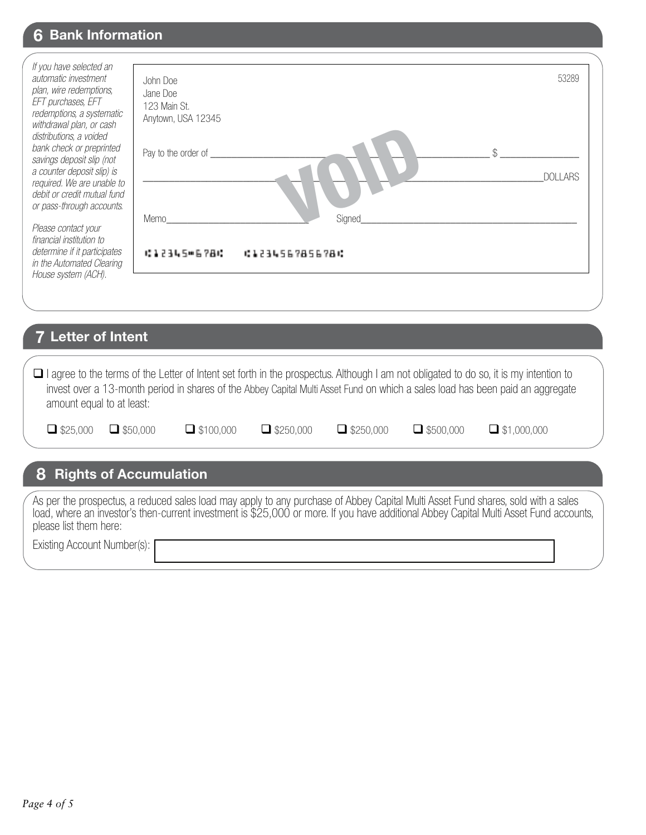# **6 Bank Information**

| If you have selected an<br>automatic investment<br>plan, wire redemptions,<br>EFT purchases, EFT<br>redemptions, a systematic<br>withdrawal plan, or cash<br>distributions, a voided | John Doe<br>Jane Doe<br>123 Main St.<br>Anytown, USA 12345 | 53289                           |
|--------------------------------------------------------------------------------------------------------------------------------------------------------------------------------------|------------------------------------------------------------|---------------------------------|
| bank check or preprinted<br>savings deposit slip (not<br>a counter deposit slip) is<br>required. We are unable to<br>debit or credit mutual fund<br>or pass-through accounts.        | Pay to the order of                                        | DOLLARS                         |
| Please contact your<br>financial institution to<br>determine if it participates<br>in the Automated Clearing                                                                         | Memo<br>10年23月5日后7日10                                      | <b>Signed</b><br>61234567856786 |
| House system (ACH).                                                                                                                                                                  |                                                            |                                 |

### **7 Letter of Intent**

| $\Box$ I agree to the terms of the Letter of Intent set forth in the prospectus. Although I am not obligated to do so, it is my intention to |
|----------------------------------------------------------------------------------------------------------------------------------------------|
| invest over a 13-month period in shares of the Abbey Capital Multi Asset Fund on which a sales load has been paid an aggregate               |
| amount equal to at least:                                                                                                                    |

| \$25,000 |
|----------|
|----------|

| ıЕ c | X |
|------|---|
|      |   |

 $\Box$  \$50,000  $\Box$  \$100,000  $\Box$  \$250,000  $\Box$  \$250,000  $\Box$  \$500,000  $\Box$  \$1,000,000

# **8 Rights of Accumulation**

As per the prospectus, a reduced sales load may apply to any purchase of Abbey Capital Multi Asset Fund shares, sold with a sales load, where an investor's then-current investment is \$25,000 or more. If you have additional Abbey Capital Multi Asset Fund accounts, please list them here:

Existing Account Number(s):